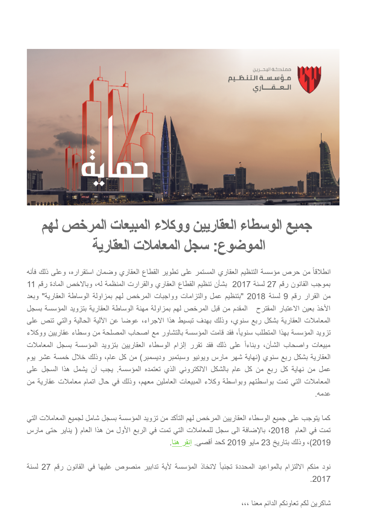

## **جمیع الوسطاء العقاریین ووكلاء المبیعات المرخص لھم الموضوع: سجل المعاملات العقاریة**

انطلاقاً من حرص مؤسسة التنظیم العقاري المستمر على تطویر القطاع العقاري وضمان استقراره، وعلى ذلك فأنھ بموجب القانون رقم 27 لسنة 2017 بشأن تنظیم القطاع العقاري والقرارت المنظمة لھ، وبالاخص المادة رقم 11 من القرار رقم 9 لسنة 2018 "بتنظیم عمل والتزامات وواجبات المرخص لھم بمزاولة الوساطة العقاریة" وبعد الأخذ بعین الاعتبار المقترح المقدم من قبل المرخص لھم بمزاولة مھنة الوساطة العقاریة بتزوید المؤسسة بسجل المعاملات العقاریة بشكل ربع سنوي، وذلك بھدف تبسیط ھذا الاجراء، عوضا عن الآلیة الحالیة والتي تنص على تزوید المؤسسة بھذا المتطلب سنویا،ً فقد قامت المؤسسة بالتشاور مع اصحاب المصلحة من وسطاء عقاریین ووكلاء مبیعات واصحاب الشأن، وبناءاً على ذلك فقد تقرر إلزام الوسطاء العقاریین بتزوید المؤسسة بسجل المعاملات العقاریة بشكل ربع سنوي (نھایة شھر مارس ویونیو وسبتمبر ودیسمبر) من كل عام، وذلك خلال خمسة عشر یوم عمل من نھایة كل ربع من كل عام بالشكل الالكتروني الذي تعتمده المؤسسة. یجب أن یشمل ھذا السجل على المعاملات التي تمت بواسطتھم وبواسطة وكلاء المبیعات العاملین معھم، وذلك في حال اتمام معاملات عقاریة من عدمھ.

كما یتوجب على جمیع الوسطاء العقاریین المرخص لھم التأكد من تزوید المؤسسة بسجل شامل لجمیع المعاملات التي تمت في العام ،2018 بالإضافة الى سجل للمعاملات التي تمت في الربع الأول من ھذا العام ( ینایر حتى مارس 2019)، وذلك بتاریخ 23 مایو 2019 كحد أقصى. [إنقر ھنا.](https://airtable.com/shrO8l25bidn6pOZC)

نود منكم الالتزام بالمواعید المحددة تجنباً لاتخاذ المؤسسة لأیة تدابیر منصوص علیھا في القانون رقم 27 لسنة .2017

شاكرین لكم تعاونكم الدائم معنا ،،،